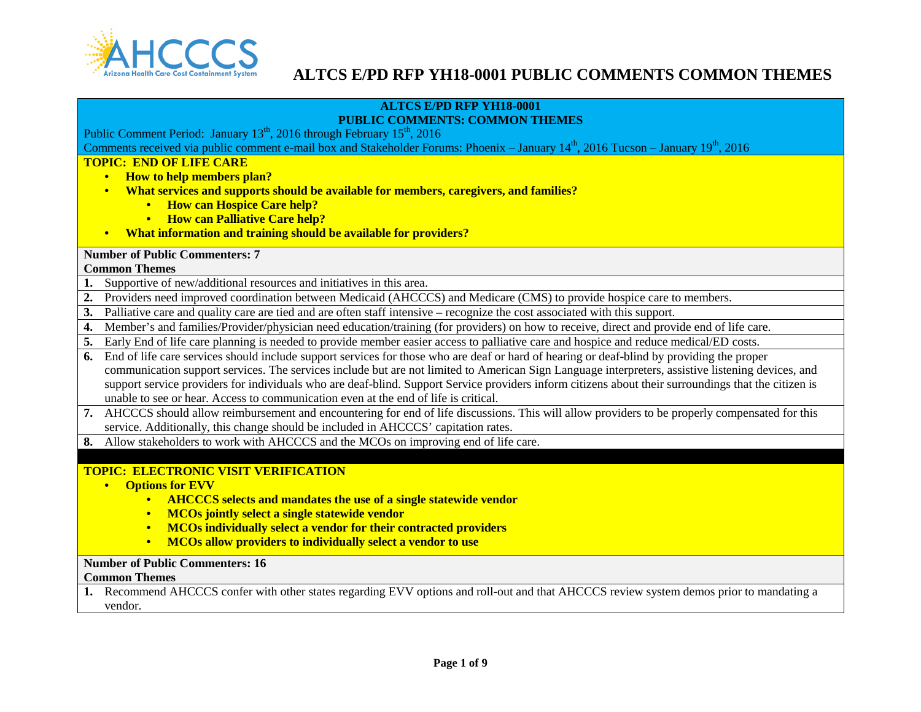

#### **ALTCS E/PD RFP YH18-0001 PUBLIC COMMENTS: COMMON THEMES**

Public Comment Period: January  $13^{th}$ , 2016 through February  $15^{th}$ , 2016

Comments received via public comment e-mail box and Stakeholder Forums: Phoenix – January  $14<sup>th</sup>$ , 2016 Tucson – January  $19<sup>th</sup>$ , 2016

### **TOPIC: END OF LIFE CARE**

- **How to help members plan?**
- **What services and supports should be available for members, caregivers, and families?**
	- **How can Hospice Care help?**
	- **How can Palliative Care help?**
- **What information and training should be available for providers?**

### **Number of Public Commenters: 7**

#### **Common Themes**

- **1.** Supportive of new/additional resources and initiatives in this area.
- **2.** Providers need improved coordination between Medicaid (AHCCCS) and Medicare (CMS) to provide hospice care to members.
- **3.** Palliative care and quality care are tied and are often staff intensive recognize the cost associated with this support.
- **4.** Member's and families/Provider/physician need education/training (for providers) on how to receive, direct and provide end of life care.
- **5.** Early End of life care planning is needed to provide member easier access to palliative care and hospice and reduce medical/ED costs.
- **6.** End of life care services should include support services for those who are deaf or hard of hearing or deaf-blind by providing the proper communication support services. The services include but are not limited to American Sign Language interpreters, assistive listening devices, and support service providers for individuals who are deaf-blind. Support Service providers inform citizens about their surroundings that the citizen is unable to see or hear. Access to communication even at the end of life is critical.
- **7.** AHCCCS should allow reimbursement and encountering for end of life discussions. This will allow providers to be properly compensated for this service. Additionally, this change should be included in AHCCCS' capitation rates.
- **8.** Allow stakeholders to work with AHCCCS and the MCOs on improving end of life care.

## **TOPIC: ELECTRONIC VISIT VERIFICATION**

- **Options for EVV**
	- **AHCCCS selects and mandates the use of a single statewide vendor**
	- **MCOs jointly select a single statewide vendor**
	- **MCOs individually select a vendor for their contracted providers**
	- **MCOs allow providers to individually select a vendor to use**

### **Number of Public Commenters: 16**

#### **Common Themes**

**1.** Recommend AHCCCS confer with other states regarding EVV options and roll-out and that AHCCCS review system demos prior to mandating a vendor.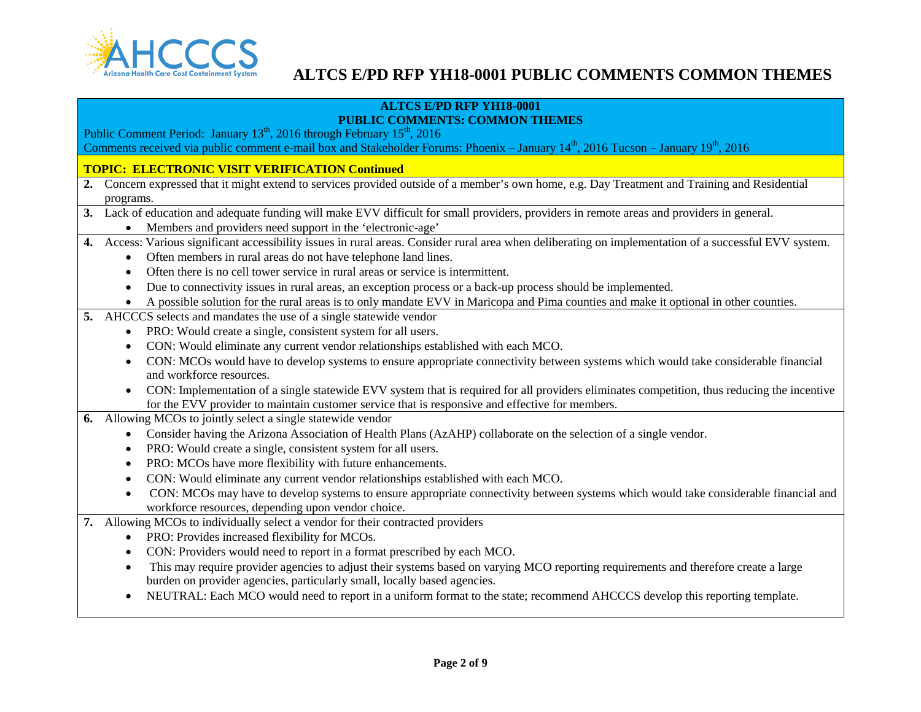

## **ALTCS E/PD RFP YH18-0001**

## **PUBLIC COMMENTS: COMMON THEMES**

Public Comment Period: January  $13^{th}$ , 2016 through February  $15^{th}$ , 2016

Comments received via public comment e-mail box and Stakeholder Forums: Phoenix – January  $14<sup>th</sup>$ , 2016 Tucson – January  $19<sup>th</sup>$ , 2016

### **TOPIC: ELECTRONIC VISIT VERIFICATION Continued**

- **2.** Concern expressed that it might extend to services provided outside of a member's own home, e.g. Day Treatment and Training and Residential programs.
- **3.** Lack of education and adequate funding will make EVV difficult for small providers, providers in remote areas and providers in general.
	- Members and providers need support in the 'electronic-age'
- **4.** Access: Various significant accessibility issues in rural areas. Consider rural area when deliberating on implementation of a successful EVV system.
	- Often members in rural areas do not have telephone land lines.
	- Often there is no cell tower service in rural areas or service is intermittent.
	- Due to connectivity issues in rural areas, an exception process or a back-up process should be implemented.
	- A possible solution for the rural areas is to only mandate EVV in Maricopa and Pima counties and make it optional in other counties.
- **5.** AHCCCS selects and mandates the use of a single statewide vendor
	- PRO: Would create a single, consistent system for all users.
	- CON: Would eliminate any current vendor relationships established with each MCO.
	- CON: MCOs would have to develop systems to ensure appropriate connectivity between systems which would take considerable financial and workforce resources.
	- CON: Implementation of a single statewide EVV system that is required for all providers eliminates competition, thus reducing the incentive for the EVV provider to maintain customer service that is responsive and effective for members.
- **6.** Allowing MCOs to jointly select a single statewide vendor
	- Consider having the Arizona Association of Health Plans (AzAHP) collaborate on the selection of a single vendor.
	- PRO: Would create a single, consistent system for all users.
	- PRO: MCOs have more flexibility with future enhancements.
	- CON: Would eliminate any current vendor relationships established with each MCO.
	- CON: MCOs may have to develop systems to ensure appropriate connectivity between systems which would take considerable financial and workforce resources, depending upon vendor choice.
- **7.** Allowing MCOs to individually select a vendor for their contracted providers
	- PRO: Provides increased flexibility for MCOs.
	- CON: Providers would need to report in a format prescribed by each MCO.
	- This may require provider agencies to adjust their systems based on varying MCO reporting requirements and therefore create a large burden on provider agencies, particularly small, locally based agencies.
	- NEUTRAL: Each MCO would need to report in a uniform format to the state; recommend AHCCCS develop this reporting template.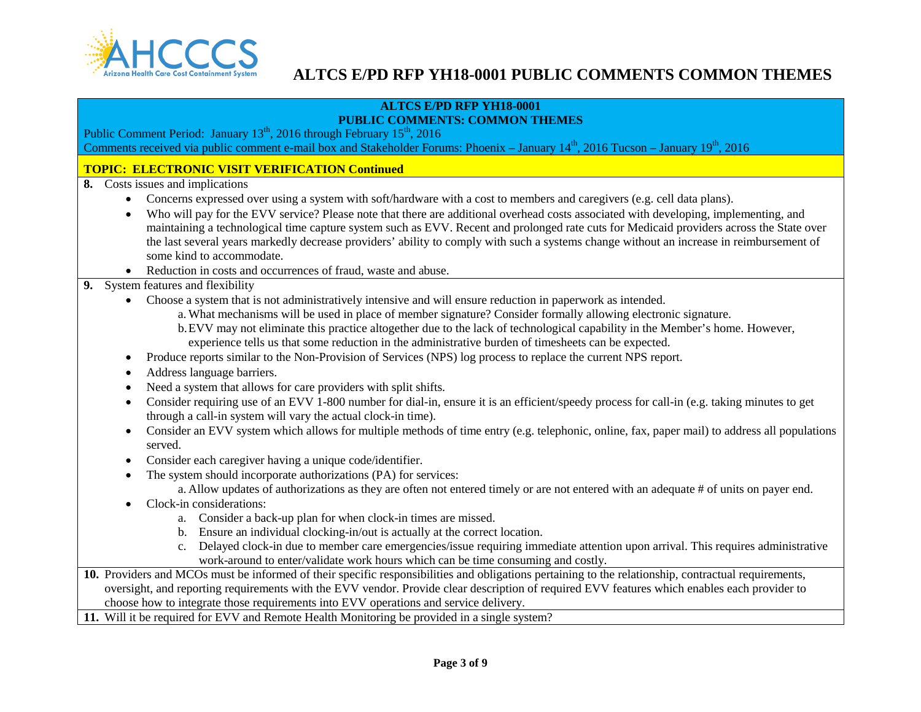

#### **ALTCS E/PD RFP YH18-0001 PUBLIC COMMENTS: COMMON THEMES**

Public Comment Period: January  $13^{th}$ , 2016 through February  $15^{th}$ , 2016 Comments received via public comment e-mail box and Stakeholder Forums: Phoenix – January  $14<sup>th</sup>$ , 2016 Tucson – January  $19<sup>th</sup>$ , 2016

## **TOPIC: ELECTRONIC VISIT VERIFICATION Continued**

**8.** Costs issues and implications

- Concerns expressed over using a system with soft/hardware with a cost to members and caregivers (e.g. cell data plans).
- Who will pay for the EVV service? Please note that there are additional overhead costs associated with developing, implementing, and maintaining a technological time capture system such as EVV. Recent and prolonged rate cuts for Medicaid providers across the State over the last several years markedly decrease providers' ability to comply with such a systems change without an increase in reimbursement of some kind to accommodate.
- Reduction in costs and occurrences of fraud, waste and abuse.

## **9.** System features and flexibility

- Choose a system that is not administratively intensive and will ensure reduction in paperwork as intended.
	- a. What mechanisms will be used in place of member signature? Consider formally allowing electronic signature.
	- b.EVV may not eliminate this practice altogether due to the lack of technological capability in the Member's home. However, experience tells us that some reduction in the administrative burden of timesheets can be expected.
- Produce reports similar to the Non-Provision of Services (NPS) log process to replace the current NPS report.
- Address language barriers.
- Need a system that allows for care providers with split shifts.
- Consider requiring use of an EVV 1-800 number for dial-in, ensure it is an efficient/speedy process for call-in (e.g. taking minutes to get through a call-in system will vary the actual clock-in time).
- Consider an EVV system which allows for multiple methods of time entry (e.g. telephonic, online, fax, paper mail) to address all populations served.
- Consider each caregiver having a unique code/identifier.
- The system should incorporate authorizations (PA) for services:
	- a. Allow updates of authorizations as they are often not entered timely or are not entered with an adequate # of units on payer end.
- Clock-in considerations:
	- a. Consider a back-up plan for when clock-in times are missed.
	- b. Ensure an individual clocking-in/out is actually at the correct location.
	- c. Delayed clock-in due to member care emergencies/issue requiring immediate attention upon arrival. This requires administrative work-around to enter/validate work hours which can be time consuming and costly.
- **10.** Providers and MCOs must be informed of their specific responsibilities and obligations pertaining to the relationship, contractual requirements, oversight, and reporting requirements with the EVV vendor. Provide clear description of required EVV features which enables each provider to choose how to integrate those requirements into EVV operations and service delivery.
- **11.** Will it be required for EVV and Remote Health Monitoring be provided in a single system?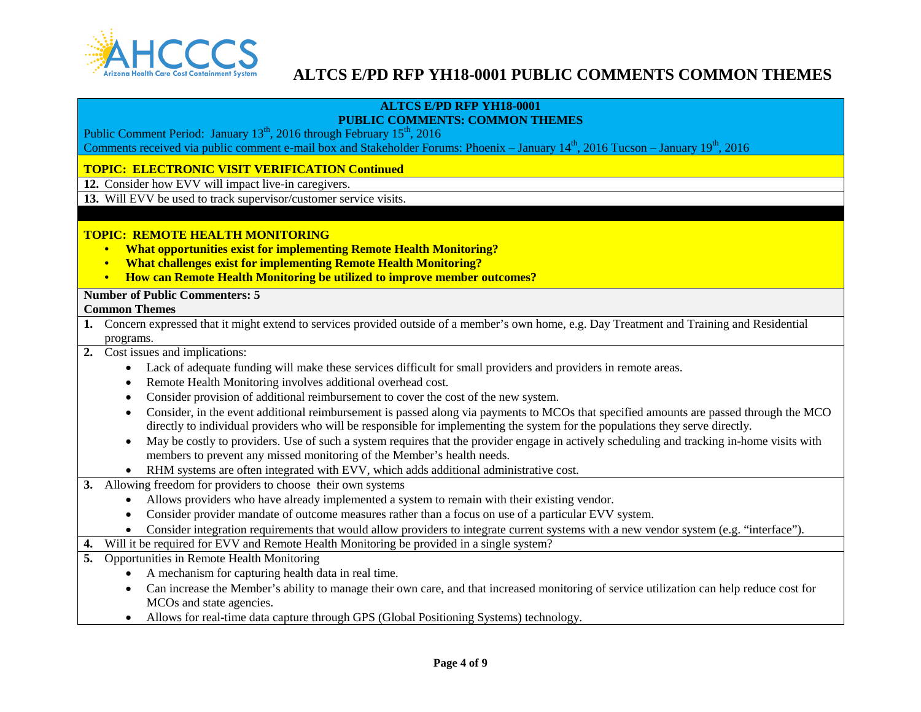

#### **ALTCS E/PD RFP YH18-0001 PUBLIC COMMENTS: COMMON THEMES**

Public Comment Period: January 13<sup>th</sup>, 2016 through February 15<sup>th</sup>, 2016

Comments received via public comment e-mail box and Stakeholder Forums: Phoenix – January  $14<sup>th</sup>$ , 2016 Tucson – January  $19<sup>th</sup>$ , 2016

## **TOPIC: ELECTRONIC VISIT VERIFICATION Continued**

**12.** Consider how EVV will impact live-in caregivers.

**13.** Will EVV be used to track supervisor/customer service visits.

## **TOPIC: REMOTE HEALTH MONITORING**

- **What opportunities exist for implementing Remote Health Monitoring?**
- **What challenges exist for implementing Remote Health Monitoring?**
- **How can Remote Health Monitoring be utilized to improve member outcomes?**

## **Number of Public Commenters: 5**

### **Common Themes**

- **1.** Concern expressed that it might extend to services provided outside of a member's own home, e.g. Day Treatment and Training and Residential programs.
- **2.** Cost issues and implications:
	- Lack of adequate funding will make these services difficult for small providers and providers in remote areas.
	- Remote Health Monitoring involves additional overhead cost.
	- Consider provision of additional reimbursement to cover the cost of the new system.
	- Consider, in the event additional reimbursement is passed along via payments to MCOs that specified amounts are passed through the MCO directly to individual providers who will be responsible for implementing the system for the populations they serve directly.
	- May be costly to providers. Use of such a system requires that the provider engage in actively scheduling and tracking in-home visits with members to prevent any missed monitoring of the Member's health needs.
	- RHM systems are often integrated with EVV, which adds additional administrative cost.
- **3.** Allowing freedom for providers to choose their own systems
	- Allows providers who have already implemented a system to remain with their existing vendor.
	- Consider provider mandate of outcome measures rather than a focus on use of a particular EVV system.
	- Consider integration requirements that would allow providers to integrate current systems with a new vendor system (e.g. "interface").
- **4.** Will it be required for EVV and Remote Health Monitoring be provided in a single system?
- **5.** Opportunities in Remote Health Monitoring
	- A mechanism for capturing health data in real time.
	- Can increase the Member's ability to manage their own care, and that increased monitoring of service utilization can help reduce cost for MCOs and state agencies.
	- Allows for real-time data capture through GPS (Global Positioning Systems) technology.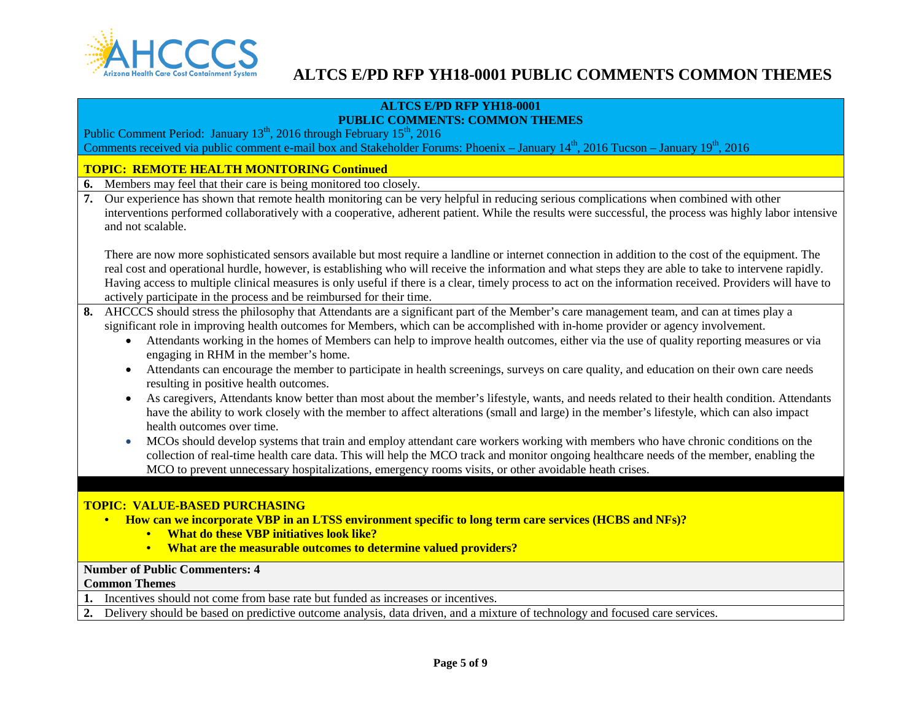

### **ALTCS E/PD RFP YH18-0001 PUBLIC COMMENTS: COMMON THEMES**

Public Comment Period: January 13<sup>th</sup>, 2016 through February 15<sup>th</sup>, 2016 Comments received via public comment e-mail box and Stakeholder Forums: Phoenix – January  $14<sup>th</sup>$ , 2016 Tucson – January  $19<sup>th</sup>$ , 2016

## **TOPIC: REMOTE HEALTH MONITORING Continued**

- **6.** Members may feel that their care is being monitored too closely.
- **7.** Our experience has shown that remote health monitoring can be very helpful in reducing serious complications when combined with other interventions performed collaboratively with a cooperative, adherent patient. While the results were successful, the process was highly labor intensive and not scalable.

There are now more sophisticated sensors available but most require a landline or internet connection in addition to the cost of the equipment. The real cost and operational hurdle, however, is establishing who will receive the information and what steps they are able to take to intervene rapidly. Having access to multiple clinical measures is only useful if there is a clear, timely process to act on the information received. Providers will have to actively participate in the process and be reimbursed for their time.

- **8.** AHCCCS should stress the philosophy that Attendants are a significant part of the Member's care management team, and can at times play a significant role in improving health outcomes for Members, which can be accomplished with in-home provider or agency involvement.
	- Attendants working in the homes of Members can help to improve health outcomes, either via the use of quality reporting measures or via engaging in RHM in the member's home.
	- Attendants can encourage the member to participate in health screenings, surveys on care quality, and education on their own care needs resulting in positive health outcomes.
	- As caregivers, Attendants know better than most about the member's lifestyle, wants, and needs related to their health condition. Attendants have the ability to work closely with the member to affect alterations (small and large) in the member's lifestyle, which can also impact health outcomes over time.
	- MCOs should develop systems that train and employ attendant care workers working with members who have chronic conditions on the collection of real-time health care data. This will help the MCO track and monitor ongoing healthcare needs of the member, enabling the MCO to prevent unnecessary hospitalizations, emergency rooms visits, or other avoidable heath crises.

### **TOPIC: VALUE-BASED PURCHASING**

- **How can we incorporate VBP in an LTSS environment specific to long term care services (HCBS and NFs)?**
	- **What do these VBP initiatives look like?**
	- **What are the measurable outcomes to determine valued providers?**

## **Number of Public Commenters: 4**

#### **Common Themes**

- **1.** Incentives should not come from base rate but funded as increases or incentives.
- **2.** Delivery should be based on predictive outcome analysis, data driven, and a mixture of technology and focused care services.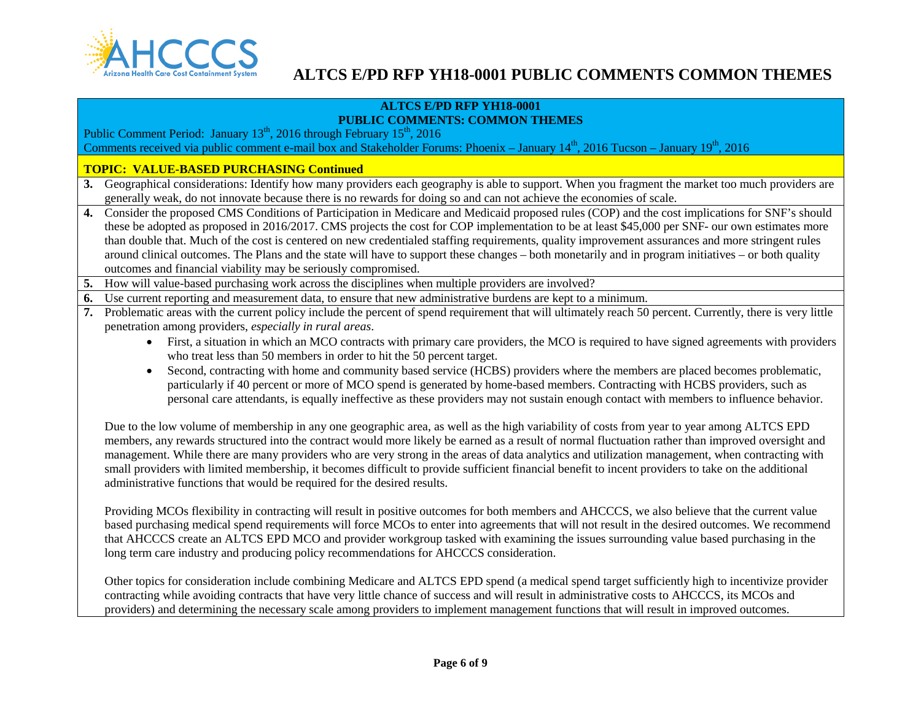

#### **ALTCS E/PD RFP YH18-0001 PUBLIC COMMENTS: COMMON THEMES**

Public Comment Period: January 13<sup>th</sup>, 2016 through February 15<sup>th</sup>, 2016 Comments received via public comment e-mail box and Stakeholder Forums: Phoenix – January  $14<sup>th</sup>$ , 2016 Tucson – January  $19<sup>th</sup>$ , 2016

### **TOPIC: VALUE-BASED PURCHASING Continued**

- **3.** Geographical considerations: Identify how many providers each geography is able to support. When you fragment the market too much providers are generally weak, do not innovate because there is no rewards for doing so and can not achieve the economies of scale.
- **4.** Consider the proposed CMS Conditions of Participation in Medicare and Medicaid proposed rules (COP) and the cost implications for SNF's should these be adopted as proposed in 2016/2017. CMS projects the cost for COP implementation to be at least \$45,000 per SNF- our own estimates more than double that. Much of the cost is centered on new credentialed staffing requirements, quality improvement assurances and more stringent rules around clinical outcomes. The Plans and the state will have to support these changes – both monetarily and in program initiatives – or both quality outcomes and financial viability may be seriously compromised.
- **5.** How will value-based purchasing work across the disciplines when multiple providers are involved?
- **6.** Use current reporting and measurement data, to ensure that new administrative burdens are kept to a minimum.
- **7.** Problematic areas with the current policy include the percent of spend requirement that will ultimately reach 50 percent. Currently, there is very little penetration among providers, *especially in rural areas*.
	- First, a situation in which an MCO contracts with primary care providers, the MCO is required to have signed agreements with providers who treat less than 50 members in order to hit the 50 percent target.
	- Second, contracting with home and community based service (HCBS) providers where the members are placed becomes problematic, particularly if 40 percent or more of MCO spend is generated by home-based members. Contracting with HCBS providers, such as personal care attendants, is equally ineffective as these providers may not sustain enough contact with members to influence behavior.

Due to the low volume of membership in any one geographic area, as well as the high variability of costs from year to year among ALTCS EPD members, any rewards structured into the contract would more likely be earned as a result of normal fluctuation rather than improved oversight and management. While there are many providers who are very strong in the areas of data analytics and utilization management, when contracting with small providers with limited membership, it becomes difficult to provide sufficient financial benefit to incent providers to take on the additional administrative functions that would be required for the desired results.

Providing MCOs flexibility in contracting will result in positive outcomes for both members and AHCCCS, we also believe that the current value based purchasing medical spend requirements will force MCOs to enter into agreements that will not result in the desired outcomes. We recommend that AHCCCS create an ALTCS EPD MCO and provider workgroup tasked with examining the issues surrounding value based purchasing in the long term care industry and producing policy recommendations for AHCCCS consideration.

Other topics for consideration include combining Medicare and ALTCS EPD spend (a medical spend target sufficiently high to incentivize provider contracting while avoiding contracts that have very little chance of success and will result in administrative costs to AHCCCS, its MCOs and providers) and determining the necessary scale among providers to implement management functions that will result in improved outcomes.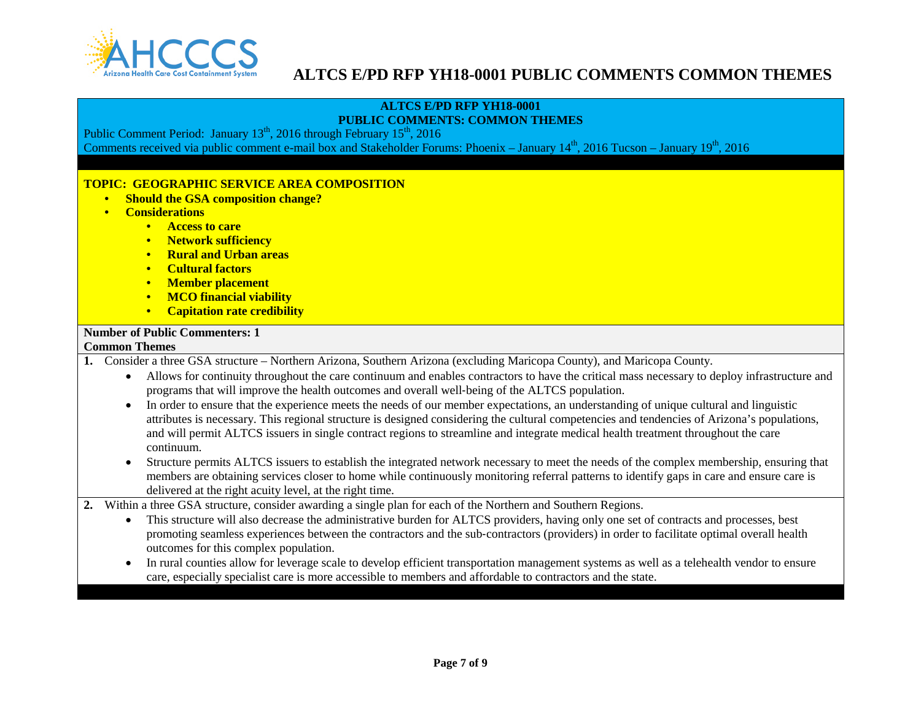

#### **ALTCS E/PD RFP YH18-0001 PUBLIC COMMENTS: COMMON THEMES**

Public Comment Period: January  $13^{th}$ , 2016 through February  $15^{th}$ , 2016 Comments received via public comment e-mail box and Stakeholder Forums: Phoenix – January  $14<sup>th</sup>$ , 2016 Tucson – January  $19<sup>th</sup>$ , 2016

## **TOPIC: GEOGRAPHIC SERVICE AREA COMPOSITION**

- **Should the GSA composition change?**
- **Considerations**
	- **Access to care**
	- **Network sufficiency**
	- **Rural and Urban areas**
	- **Cultural factors**
	- **Member placement**
	- **MCO financial viability**
	- **Capitation rate credibility**

## **Number of Public Commenters: 1**

### **Common Themes**

- **1.** Consider a three GSA structure Northern Arizona, Southern Arizona (excluding Maricopa County), and Maricopa County.
	- Allows for continuity throughout the care continuum and enables contractors to have the critical mass necessary to deploy infrastructure and programs that will improve the health outcomes and overall well‐being of the ALTCS population.
	- In order to ensure that the experience meets the needs of our member expectations, an understanding of unique cultural and linguistic attributes is necessary. This regional structure is designed considering the cultural competencies and tendencies of Arizona's populations, and will permit ALTCS issuers in single contract regions to streamline and integrate medical health treatment throughout the care continuum.
	- Structure permits ALTCS issuers to establish the integrated network necessary to meet the needs of the complex membership, ensuring that members are obtaining services closer to home while continuously monitoring referral patterns to identify gaps in care and ensure care is delivered at the right acuity level, at the right time.
- **2.** Within a three GSA structure, consider awarding a single plan for each of the Northern and Southern Regions.
	- This structure will also decrease the administrative burden for ALTCS providers, having only one set of contracts and processes, best promoting seamless experiences between the contractors and the sub‐contractors (providers) in order to facilitate optimal overall health outcomes for this complex population.
	- In rural counties allow for leverage scale to develop efficient transportation management systems as well as a telehealth vendor to ensure care, especially specialist care is more accessible to members and affordable to contractors and the state.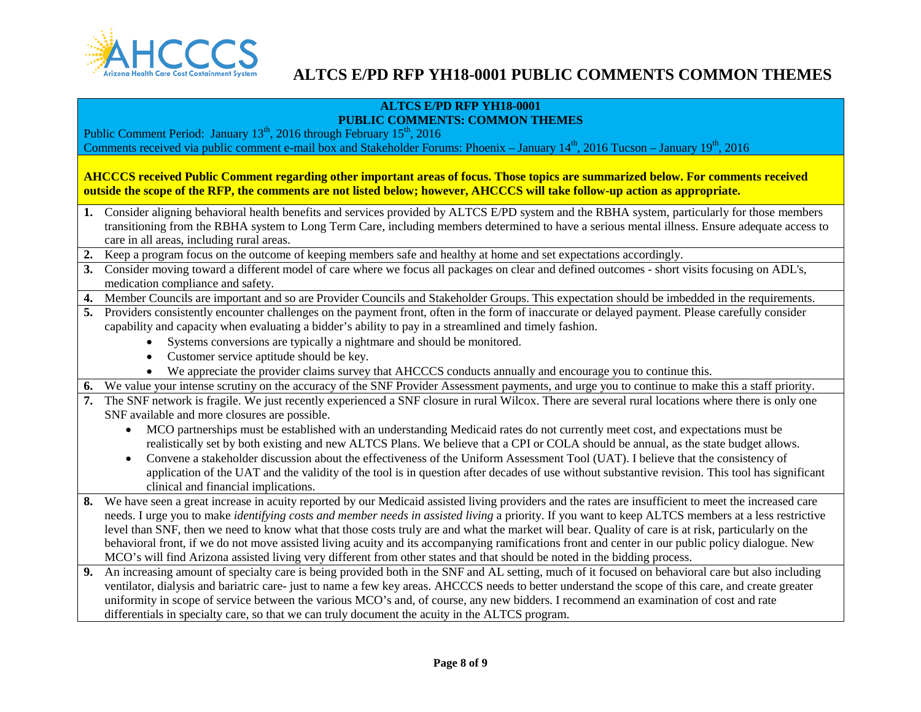

#### **ALTCS E/PD RFP YH18-0001 PUBLIC COMMENTS: COMMON THEMES**

Public Comment Period: January  $13^{th}$ , 2016 through February  $15^{th}$ , 2016 Comments received via public comment e-mail box and Stakeholder Forums: Phoenix – January  $14<sup>th</sup>$ , 2016 Tucson – January  $19<sup>th</sup>$ , 2016

**AHCCCS received Public Comment regarding other important areas of focus. Those topics are summarized below. For comments received outside the scope of the RFP, the comments are not listed below; however, AHCCCS will take follow-up action as appropriate.**

- **1.** Consider aligning behavioral health benefits and services provided by ALTCS E/PD system and the RBHA system, particularly for those members transitioning from the RBHA system to Long Term Care, including members determined to have a serious mental illness. Ensure adequate access to care in all areas, including rural areas.
- **2.** Keep a program focus on the outcome of keeping members safe and healthy at home and set expectations accordingly.
- **3.** Consider moving toward a different model of care where we focus all packages on clear and defined outcomes short visits focusing on ADL's, medication compliance and safety.
- **4.** Member Councils are important and so are Provider Councils and Stakeholder Groups. This expectation should be imbedded in the requirements.
- **5.** Providers consistently encounter challenges on the payment front, often in the form of inaccurate or delayed payment. Please carefully consider capability and capacity when evaluating a bidder's ability to pay in a streamlined and timely fashion.
	- Systems conversions are typically a nightmare and should be monitored.
	- Customer service aptitude should be key.
	- We appreciate the provider claims survey that AHCCCS conducts annually and encourage you to continue this.
- **6.** We value your intense scrutiny on the accuracy of the SNF Provider Assessment payments, and urge you to continue to make this a staff priority.
- **7.** The SNF network is fragile. We just recently experienced a SNF closure in rural Wilcox. There are several rural locations where there is only one SNF available and more closures are possible.
	- MCO partnerships must be established with an understanding Medicaid rates do not currently meet cost, and expectations must be realistically set by both existing and new ALTCS Plans. We believe that a CPI or COLA should be annual, as the state budget allows.
	- Convene a stakeholder discussion about the effectiveness of the Uniform Assessment Tool (UAT). I believe that the consistency of application of the UAT and the validity of the tool is in question after decades of use without substantive revision. This tool has significant clinical and financial implications.
- **8.** We have seen a great increase in acuity reported by our Medicaid assisted living providers and the rates are insufficient to meet the increased care needs. I urge you to make *identifying costs and member needs in assisted living* a priority. If you want to keep ALTCS members at a less restrictive level than SNF, then we need to know what that those costs truly are and what the market will bear. Quality of care is at risk, particularly on the behavioral front, if we do not move assisted living acuity and its accompanying ramifications front and center in our public policy dialogue. New MCO's will find Arizona assisted living very different from other states and that should be noted in the bidding process.
- **9.** An increasing amount of specialty care is being provided both in the SNF and AL setting, much of it focused on behavioral care but also including ventilator, dialysis and bariatric care- just to name a few key areas. AHCCCS needs to better understand the scope of this care, and create greater uniformity in scope of service between the various MCO's and, of course, any new bidders. I recommend an examination of cost and rate differentials in specialty care, so that we can truly document the acuity in the ALTCS program.